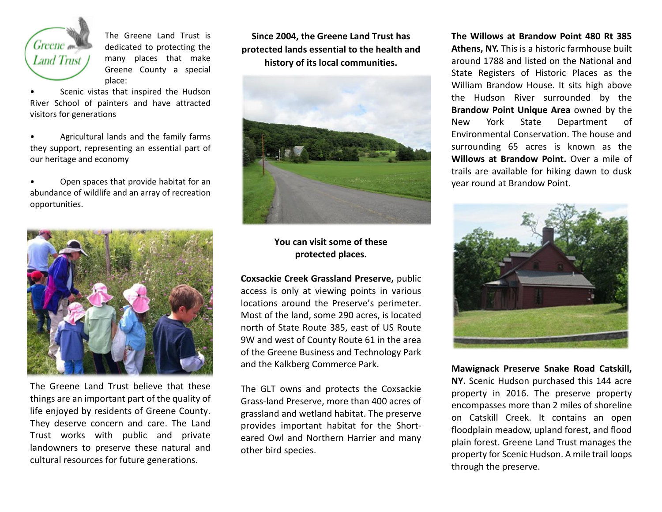

The Greene Land Trust is dedicated to protecting the many places that make Greene County a special place:

Scenic vistas that inspired the Hudson River School of painters and have attracted visitors for generations

• Agricultural lands and the family farms they support, representing an essential part of our heritage and economy

• Open spaces that provide habitat for an abundance of wildlife and an array of recreation opportunities.



The Greene Land Trust believe that these things are an important part of the quality of life enjoyed by residents of Greene County. They deserve concern and care. The Land Trust works with public and private landowners to preserve these natural and cultural resources for future generations.

**Since 2004, the Greene Land Trust has protected lands essential to the health and history of its local communities.**



## **You can visit some of these protected places.**

**Coxsackie Creek Grassland Preserve,** public access is only at viewing points in various locations around the Preserve's perimeter. Most of the land, some 290 acres, is located north of State Route 385, east of US Route 9W and west of County Route 61 in the area of the Greene Business and Technology Park and the Kalkberg Commerce Park.

The GLT owns and protects the Coxsackie Grass-land Preserve, more than 400 acres of grassland and wetland habitat. The preserve provides important habitat for the Shorteared Owl and Northern Harrier and many other bird species.

**The Willows at Brandow Point 480 Rt 385 Athens, NY.** This is a historic farmhouse built around 1788 and listed on the National and State Registers of Historic Places as the William Brandow House. It sits high above the Hudson River surrounded by the **Brandow Point Unique Area** owned by the New York State Department of Environmental Conservation. The house and surrounding 65 acres is known as the **Willows at Brandow Point.** Over a mile of trails are available for hiking dawn to dusk year round at Brandow Point.



**Mawignack Preserve Snake Road Catskill, NY.** Scenic Hudson purchased this 144 acre property in 2016. The preserve property encompasses more than 2 miles of shoreline on Catskill Creek. It contains an open floodplain meadow, upland forest, and flood plain forest. Greene Land Trust manages the property for Scenic Hudson. A mile trail loops through the preserve.